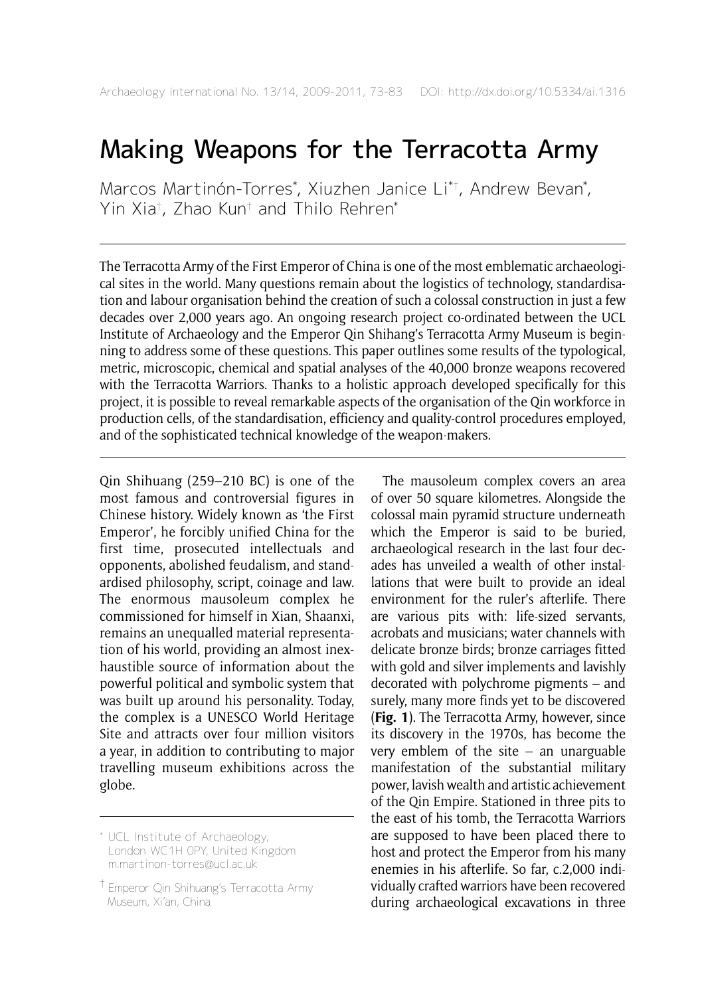# Making Weapons for the Terracotta Army

Marcos Martinón-Torres\* , Xiuzhen Janice Li\*† , Andrew Bevan\* , Yin Xia† , Zhao Kun† and Thilo Rehren\*

The Terracotta Army of the First Emperor of China is one of the most emblematic archaeological sites in the world. Many questions remain about the logistics of technology, standardisation and labour organisation behind the creation of such a colossal construction in just a few decades over 2,000 years ago. An ongoing research project co-ordinated between the UCL Institute of Archaeology and the Emperor Qin Shihang's Terracotta Army Museum is beginning to address some of these questions. This paper outlines some results of the typological, metric, microscopic, chemical and spatial analyses of the 40,000 bronze weapons recovered with the Terracotta Warriors. Thanks to a holistic approach developed specifically for this project, it is possible to reveal remarkable aspects of the organisation of the Qin workforce in production cells, of the standardisation, efficiency and quality-control procedures employed, and of the sophisticated technical knowledge of the weapon-makers.

Qin Shihuang (259–210 BC) is one of the most famous and controversial figures in Chinese history. Widely known as 'the First Emperor', he forcibly unified China for the first time, prosecuted intellectuals and opponents, abolished feudalism, and standardised philosophy, script, coinage and law. The enormous mausoleum complex he commissioned for himself in Xian, Shaanxi, remains an unequalled material representation of his world, providing an almost inexhaustible source of information about the powerful political and symbolic system that was built up around his personality. Today, the complex is a UNESCO World Heritage Site and attracts over four million visitors a year, in addition to contributing to major travelling museum exhibitions across the globe.

The mausoleum complex covers an area of over 50 square kilometres. Alongside the colossal main pyramid structure underneath which the Emperor is said to be buried, archaeological research in the last four decades has unveiled a wealth of other installations that were built to provide an ideal environment for the ruler's afterlife. There are various pits with: life-sized servants, acrobats and musicians; water channels with delicate bronze birds; bronze carriages fitted with gold and silver implements and lavishly decorated with polychrome pigments – and surely, many more finds yet to be discovered (**Fig. 1**). The Terracotta Army, however, since its discovery in the 1970s, has become the very emblem of the site  $-$  an unarguable manifestation of the substantial military power, lavish wealth and artistic achievement of the Qin Empire. Stationed in three pits to the east of his tomb, the Terracotta Warriors are supposed to have been placed there to host and protect the Emperor from his many enemies in his afterlife. So far, c.2,000 individually crafted warriors have been recovered during archaeological excavations in three

<sup>\*</sup> UCL Institute of Archaeology, London WC1H 0PY, United Kingdom m.martinon-torres@ucl.ac.uk

<sup>†</sup> Emperor Qin Shihuang's Terracotta Army Museum, Xi'an, China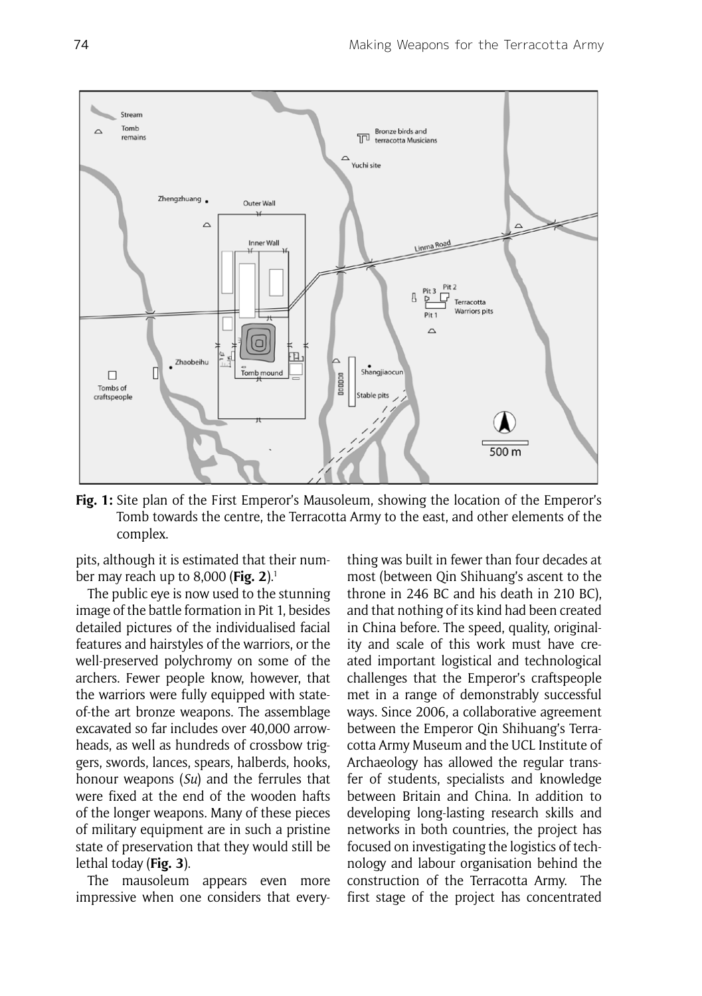

**Fig. 1:** Site plan of the First Emperor's Mausoleum, showing the location of the Emperor's Tomb towards the centre, the Terracotta Army to the east, and other elements of the complex.

pits, although it is estimated that their number may reach up to 8,000 (**Fig. 2**).1

The public eye is now used to the stunning image of the battle formation in Pit 1, besides detailed pictures of the individualised facial features and hairstyles of the warriors, or the well-preserved polychromy on some of the archers. Fewer people know, however, that the warriors were fully equipped with stateof-the art bronze weapons. The assemblage excavated so far includes over 40,000 arrowheads, as well as hundreds of crossbow triggers, swords, lances, spears, halberds, hooks, honour weapons (*Su*) and the ferrules that were fixed at the end of the wooden hafts of the longer weapons. Many of these pieces of military equipment are in such a pristine state of preservation that they would still be lethal today (**Fig. 3**).

The mausoleum appears even more impressive when one considers that everything was built in fewer than four decades at most (between Qin Shihuang's ascent to the throne in 246 BC and his death in 210 BC), and that nothing of its kind had been created in China before. The speed, quality, originality and scale of this work must have created important logistical and technological challenges that the Emperor's craftspeople met in a range of demonstrably successful ways. Since 2006, a collaborative agreement between the Emperor Qin Shihuang's Terracotta Army Museum and the UCL Institute of Archaeology has allowed the regular transfer of students, specialists and knowledge between Britain and China. In addition to developing long-lasting research skills and networks in both countries, the project has focused on investigating the logistics of technology and labour organisation behind the construction of the Terracotta Army. The first stage of the project has concentrated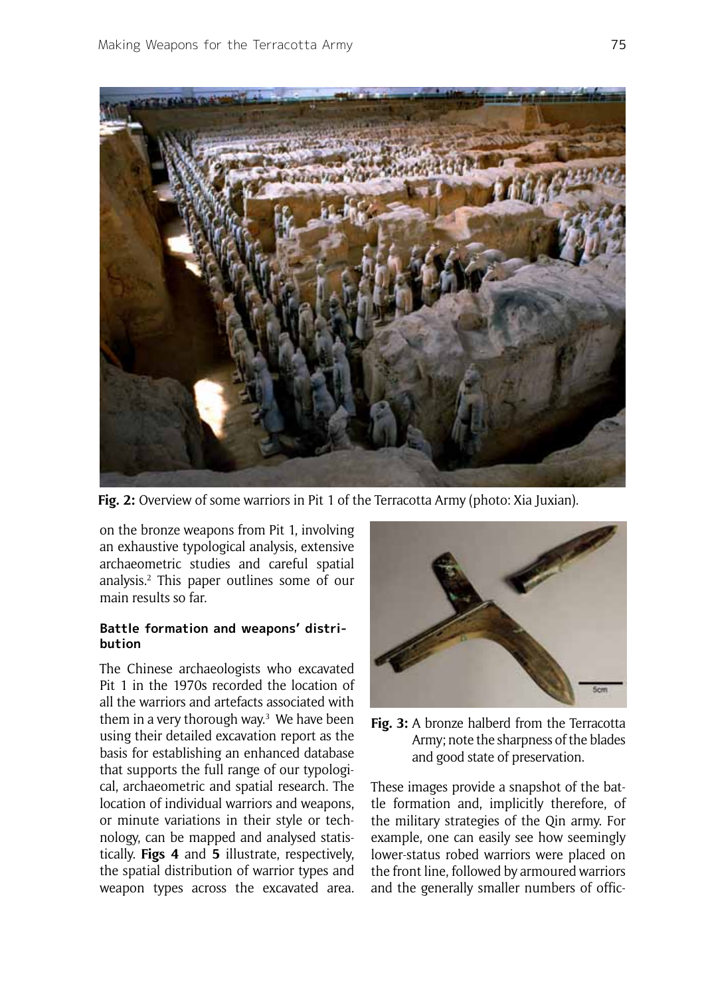

**Fig. 2:** Overview of some warriors in Pit 1 of the Terracotta Army (photo: Xia Juxian).

on the bronze weapons from Pit 1, involving an exhaustive typological analysis, extensive archaeometric studies and careful spatial analysis.2 This paper outlines some of our main results so far.

## **Battle formation and weapons' distribution**

The Chinese archaeologists who excavated Pit 1 in the 1970s recorded the location of all the warriors and artefacts associated with them in a very thorough way.<sup>3</sup> We have been using their detailed excavation report as the basis for establishing an enhanced database that supports the full range of our typological, archaeometric and spatial research. The location of individual warriors and weapons, or minute variations in their style or technology, can be mapped and analysed statistically. **Figs 4** and **5** illustrate, respectively, the spatial distribution of warrior types and weapon types across the excavated area.



**Fig. 3:** A bronze halberd from the Terracotta Army; note the sharpness of the blades and good state of preservation.

These images provide a snapshot of the battle formation and, implicitly therefore, of the military strategies of the Qin army. For example, one can easily see how seemingly lower-status robed warriors were placed on the front line, followed by armoured warriors and the generally smaller numbers of offic-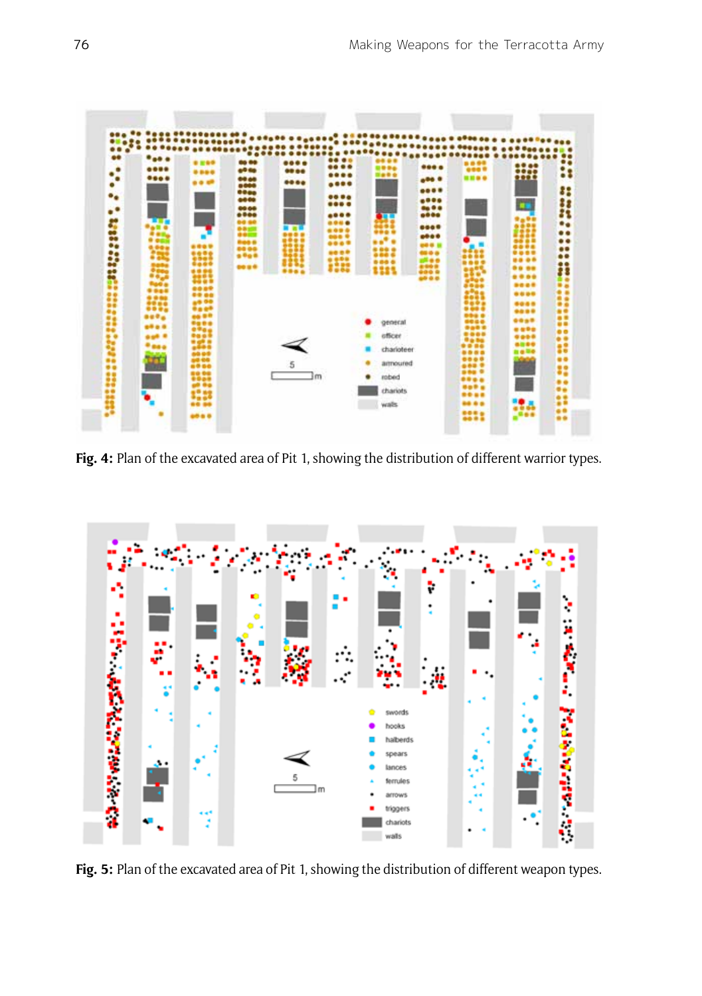

Fig. 4: Plan of the excavated area of Pit 1, showing the distribution of different warrior types.



**Fig. 5:** Plan of the excavated area of Pit 1, showing the distribution of different weapon types.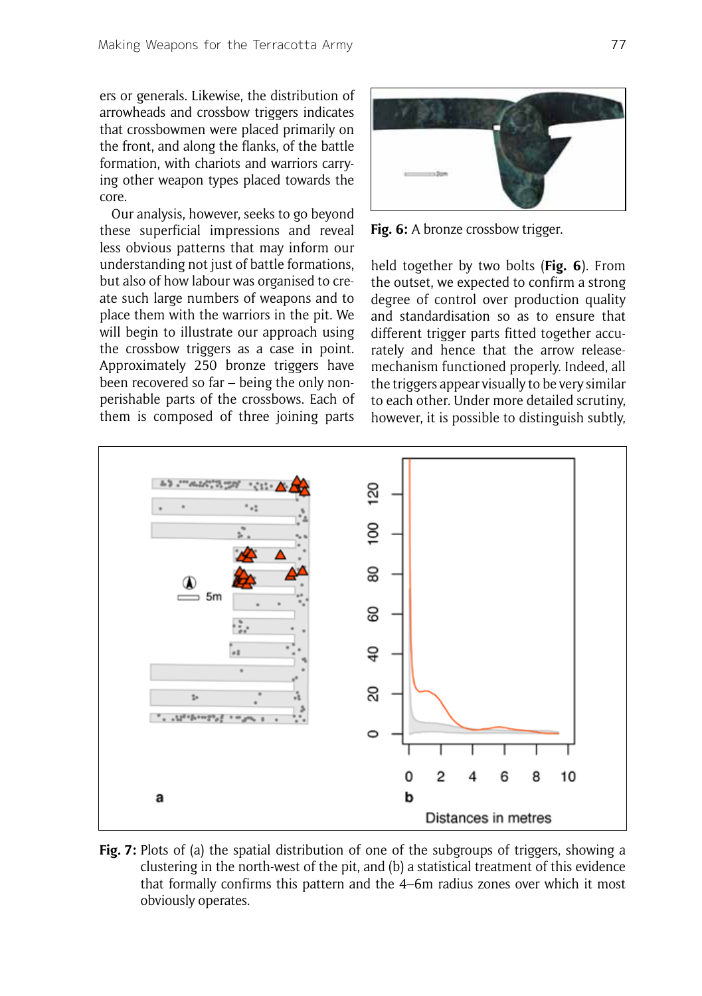ers or generals. Likewise, the distribution of arrowheads and crossbow triggers indicates that crossbowmen were placed primarily on the front, and along the flanks, of the battle formation, with chariots and warriors carrying other weapon types placed towards the core.

Our analysis, however, seeks to go beyond these superficial impressions and reveal less obvious patterns that may inform our understanding not just of battle formations, but also of how labour was organised to create such large numbers of weapons and to place them with the warriors in the pit. We will begin to illustrate our approach using the crossbow triggers as a case in point. Approximately 250 bronze triggers have been recovered so far – being the only nonperishable parts of the crossbows. Each of them is composed of three joining parts



Fig. 6: A bronze crossbow trigger.

held together by two bolts (**Fig. 6**). From the outset, we expected to confirm a strong degree of control over production quality and standardisation so as to ensure that different trigger parts fitted together accurately and hence that the arrow releasemechanism functioned properly. Indeed, all the triggers appear visually to be very similar to each other. Under more detailed scrutiny, however, it is possible to distinguish subtly,



**Fig. 7:** Plots of (a) the spatial distribution of one of the subgroups of triggers, showing a clustering in the north-west of the pit, and (b) a statistical treatment of this evidence that formally confirms this pattern and the 4–6m radius zones over which it most obviously operates.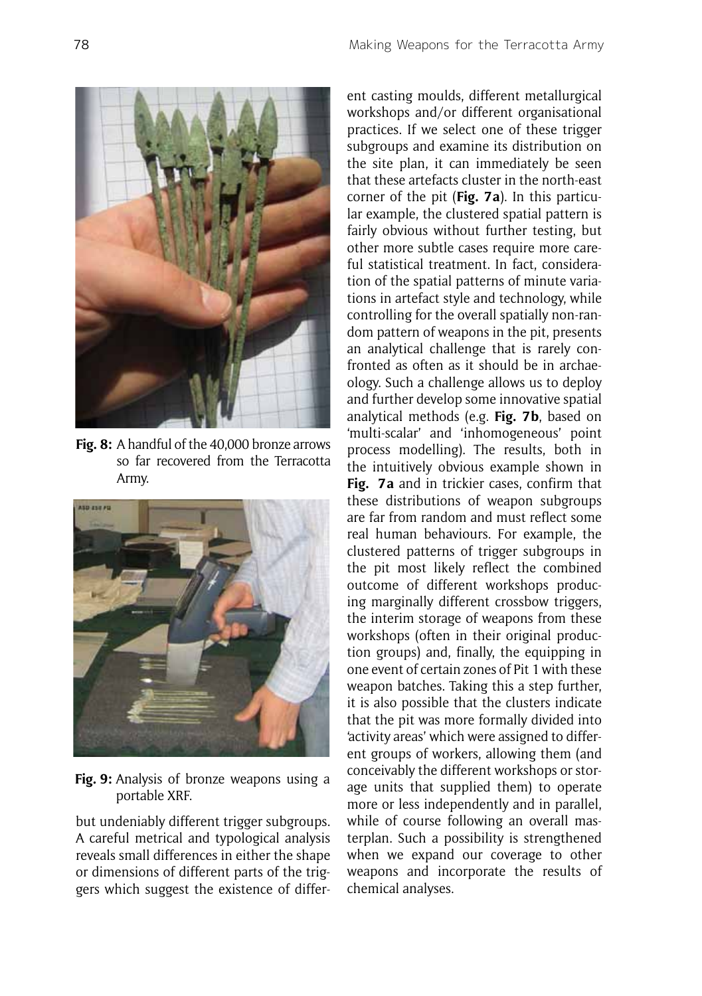

**Fig. 8:** A handful of the 40,000 bronze arrows so far recovered from the Terracotta Army.



**Fig. 9:** Analysis of bronze weapons using a portable XRF.

but undeniably different trigger subgroups. A careful metrical and typological analysis reveals small differences in either the shape or dimensions of different parts of the triggers which suggest the existence of different casting moulds, different metallurgical workshops and/or different organisational practices. If we select one of these trigger subgroups and examine its distribution on the site plan, it can immediately be seen that these artefacts cluster in the north-east corner of the pit (**Fig. 7a**). In this particular example, the clustered spatial pattern is fairly obvious without further testing, but other more subtle cases require more careful statistical treatment. In fact, consideration of the spatial patterns of minute variations in artefact style and technology, while controlling for the overall spatially non-random pattern of weapons in the pit, presents an analytical challenge that is rarely confronted as often as it should be in archaeology. Such a challenge allows us to deploy and further develop some innovative spatial analytical methods (e.g. **Fig. 7b**, based on 'multi-scalar' and 'inhomogeneous' point process modelling). The results, both in the intuitively obvious example shown in **Fig. 7a** and in trickier cases, confirm that these distributions of weapon subgroups are far from random and must reflect some real human behaviours. For example, the clustered patterns of trigger subgroups in the pit most likely reflect the combined outcome of different workshops producing marginally different crossbow triggers, the interim storage of weapons from these workshops (often in their original production groups) and, finally, the equipping in one event of certain zones of Pit 1 with these weapon batches. Taking this a step further, it is also possible that the clusters indicate that the pit was more formally divided into 'activity areas' which were assigned to different groups of workers, allowing them (and conceivably the different workshops or storage units that supplied them) to operate more or less independently and in parallel, while of course following an overall masterplan. Such a possibility is strengthened when we expand our coverage to other weapons and incorporate the results of chemical analyses.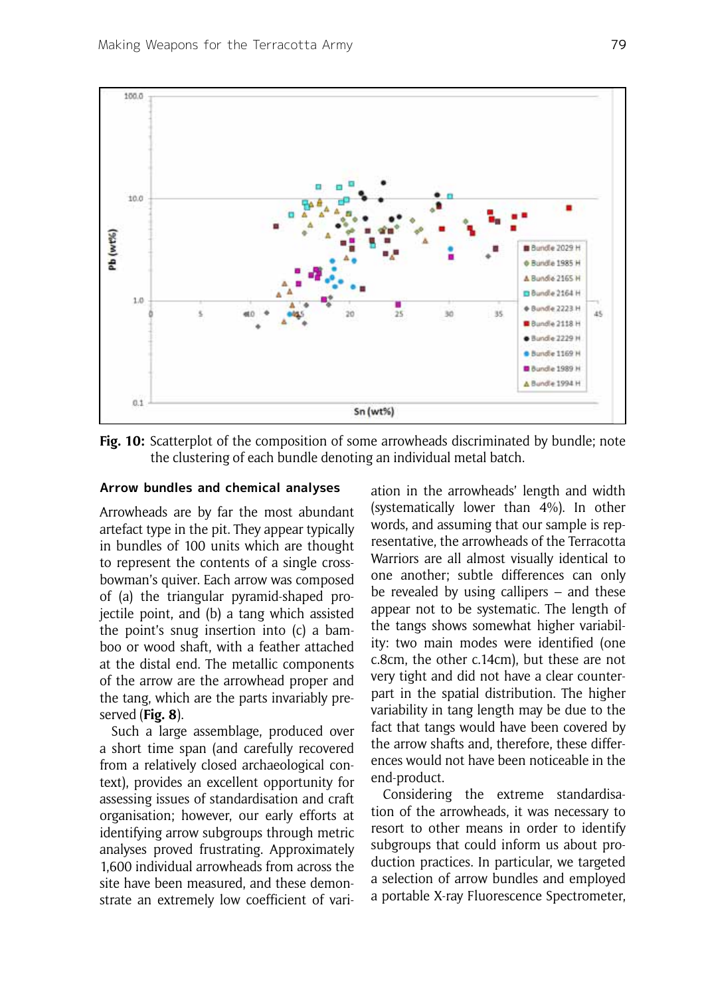

**Fig. 10:** Scatterplot of the composition of some arrowheads discriminated by bundle; note the clustering of each bundle denoting an individual metal batch.

## **Arrow bundles and chemical analyses**

Arrowheads are by far the most abundant artefact type in the pit. They appear typically in bundles of 100 units which are thought to represent the contents of a single crossbowman's quiver. Each arrow was composed of (a) the triangular pyramid-shaped projectile point, and (b) a tang which assisted the point's snug insertion into (c) a bamboo or wood shaft, with a feather attached at the distal end. The metallic components of the arrow are the arrowhead proper and the tang, which are the parts invariably preserved (**Fig. 8**).

Such a large assemblage, produced over a short time span (and carefully recovered from a relatively closed archaeological context), provides an excellent opportunity for assessing issues of standardisation and craft organisation; however, our early efforts at identifying arrow subgroups through metric analyses proved frustrating. Approximately 1,600 individual arrowheads from across the site have been measured, and these demonstrate an extremely low coefficient of variation in the arrowheads' length and width (systematically lower than 4%). In other words, and assuming that our sample is representative, the arrowheads of the Terracotta Warriors are all almost visually identical to one another; subtle differences can only be revealed by using callipers – and these appear not to be systematic. The length of the tangs shows somewhat higher variability: two main modes were identified (one c.8cm, the other c.14cm), but these are not very tight and did not have a clear counterpart in the spatial distribution. The higher variability in tang length may be due to the fact that tangs would have been covered by the arrow shafts and, therefore, these differences would not have been noticeable in the end-product.

Considering the extreme standardisation of the arrowheads, it was necessary to resort to other means in order to identify subgroups that could inform us about production practices. In particular, we targeted a selection of arrow bundles and employed a portable X-ray Fluorescence Spectrometer,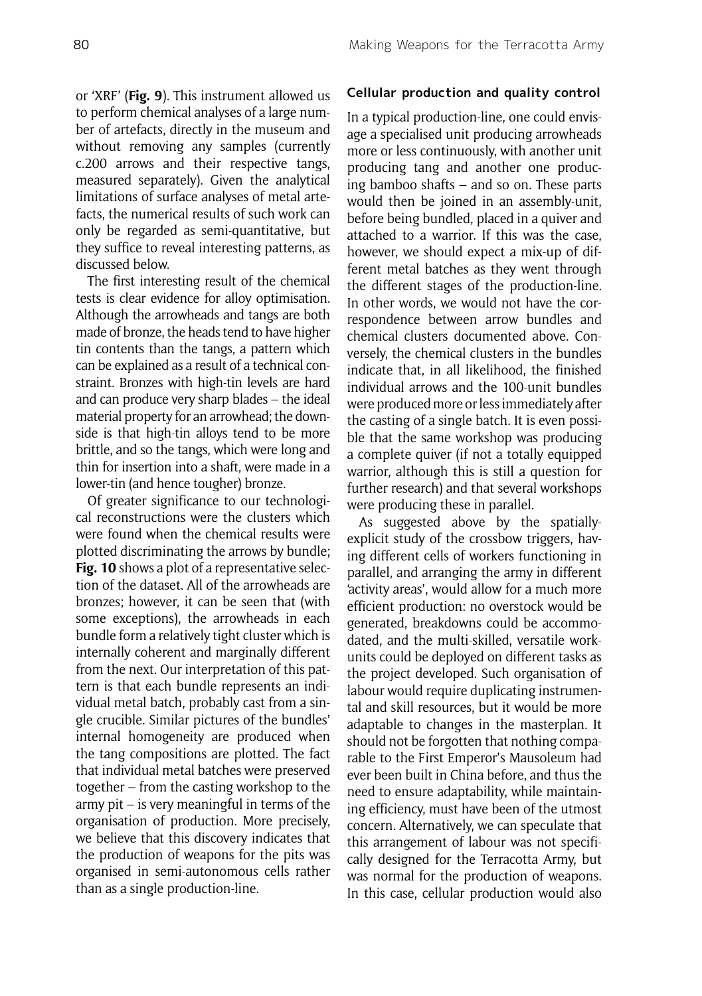or 'XRF' (**Fig. 9**). This instrument allowed us to perform chemical analyses of a large number of artefacts, directly in the museum and without removing any samples (currently c.200 arrows and their respective tangs, measured separately). Given the analytical limitations of surface analyses of metal artefacts, the numerical results of such work can only be regarded as semi-quantitative, but they suffice to reveal interesting patterns, as discussed below.

The first interesting result of the chemical tests is clear evidence for alloy optimisation. Although the arrowheads and tangs are both made of bronze, the heads tend to have higher tin contents than the tangs, a pattern which can be explained as a result of a technical constraint. Bronzes with high-tin levels are hard and can produce very sharp blades – the ideal material property for an arrowhead; the downside is that high-tin alloys tend to be more brittle, and so the tangs, which were long and thin for insertion into a shaft, were made in a lower-tin (and hence tougher) bronze.

Of greater significance to our technological reconstructions were the clusters which were found when the chemical results were plotted discriminating the arrows by bundle; **Fig. 10** shows a plot of a representative selection of the dataset. All of the arrowheads are bronzes; however, it can be seen that (with some exceptions), the arrowheads in each bundle form a relatively tight cluster which is internally coherent and marginally different from the next. Our interpretation of this pattern is that each bundle represents an individual metal batch, probably cast from a single crucible. Similar pictures of the bundles' internal homogeneity are produced when the tang compositions are plotted. The fact that individual metal batches were preserved together – from the casting workshop to the army pit – is very meaningful in terms of the organisation of production. More precisely, we believe that this discovery indicates that the production of weapons for the pits was organised in semi-autonomous cells rather than as a single production-line.

## **Cellular production and quality control**

In a typical production-line, one could envisage a specialised unit producing arrowheads more or less continuously, with another unit producing tang and another one producing bamboo shafts – and so on. These parts would then be joined in an assembly-unit, before being bundled, placed in a quiver and attached to a warrior. If this was the case, however, we should expect a mix-up of different metal batches as they went through the different stages of the production-line. In other words, we would not have the correspondence between arrow bundles and chemical clusters documented above. Conversely, the chemical clusters in the bundles indicate that, in all likelihood, the finished individual arrows and the 100-unit bundles were produced more or less immediately after the casting of a single batch. It is even possible that the same workshop was producing a complete quiver (if not a totally equipped warrior, although this is still a question for further research) and that several workshops were producing these in parallel.

As suggested above by the spatiallyexplicit study of the crossbow triggers, having different cells of workers functioning in parallel, and arranging the army in different 'activity areas', would allow for a much more efficient production: no overstock would be generated, breakdowns could be accommodated, and the multi-skilled, versatile workunits could be deployed on different tasks as the project developed. Such organisation of labour would require duplicating instrumental and skill resources, but it would be more adaptable to changes in the masterplan. It should not be forgotten that nothing comparable to the First Emperor's Mausoleum had ever been built in China before, and thus the need to ensure adaptability, while maintaining efficiency, must have been of the utmost concern. Alternatively, we can speculate that this arrangement of labour was not specifically designed for the Terracotta Army, but was normal for the production of weapons. In this case, cellular production would also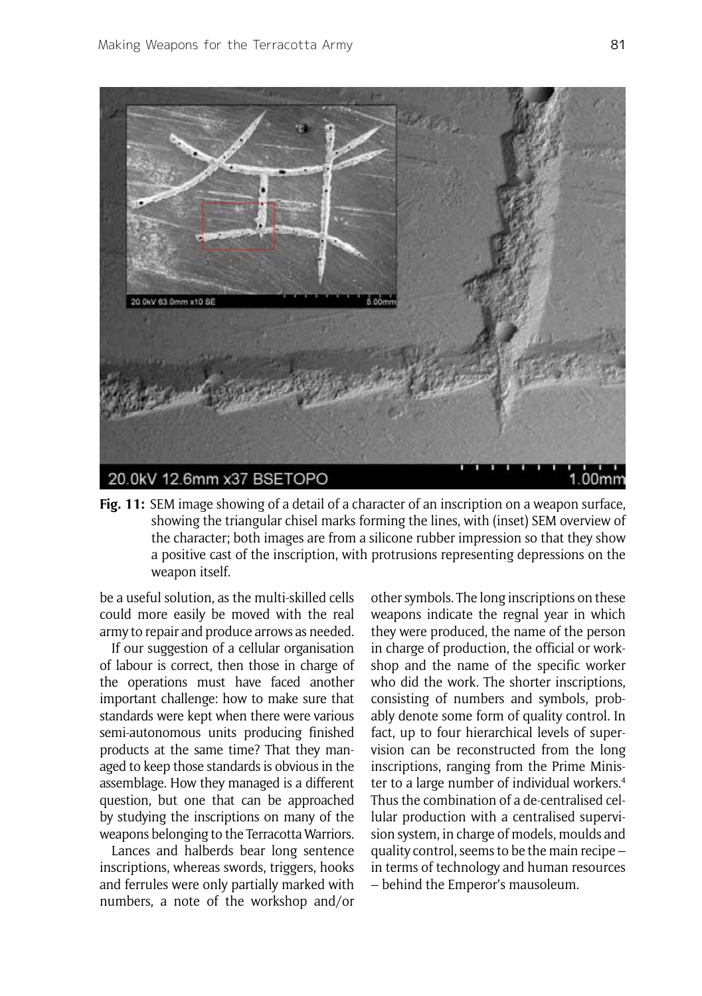

**Fig. 11:** SEM image showing of a detail of a character of an inscription on a weapon surface, showing the triangular chisel marks forming the lines, with (inset) SEM overview of the character; both images are from a silicone rubber impression so that they show a positive cast of the inscription, with protrusions representing depressions on the weapon itself.

be a useful solution, as the multi-skilled cells could more easily be moved with the real army to repair and produce arrows as needed.

If our suggestion of a cellular organisation of labour is correct, then those in charge of the operations must have faced another important challenge: how to make sure that standards were kept when there were various semi-autonomous units producing finished products at the same time? That they managed to keep those standards is obvious in the assemblage. How they managed is a different question, but one that can be approached by studying the inscriptions on many of the weapons belonging to the Terracotta Warriors.

Lances and halberds bear long sentence inscriptions, whereas swords, triggers, hooks and ferrules were only partially marked with numbers, a note of the workshop and/or other symbols. The long inscriptions on these weapons indicate the regnal year in which they were produced, the name of the person in charge of production, the official or workshop and the name of the specific worker who did the work. The shorter inscriptions, consisting of numbers and symbols, probably denote some form of quality control. In fact, up to four hierarchical levels of supervision can be reconstructed from the long inscriptions, ranging from the Prime Minister to a large number of individual workers.<sup>4</sup> Thus the combination of a de-centralised cellular production with a centralised supervision system, in charge of models, moulds and quality control, seems to be the main recipe – in terms of technology and human resources – behind the Emperor's mausoleum.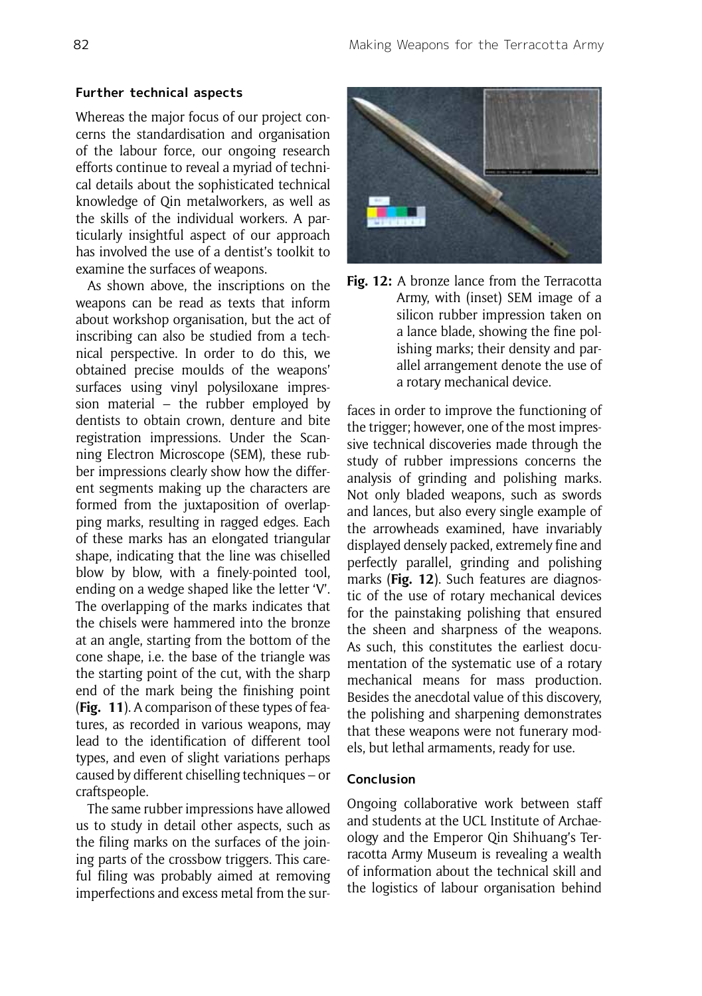#### **Further technical aspects**

Whereas the major focus of our project concerns the standardisation and organisation of the labour force, our ongoing research efforts continue to reveal a myriad of technical details about the sophisticated technical knowledge of Qin metalworkers, as well as the skills of the individual workers. A particularly insightful aspect of our approach has involved the use of a dentist's toolkit to examine the surfaces of weapons.

As shown above, the inscriptions on the weapons can be read as texts that inform about workshop organisation, but the act of inscribing can also be studied from a technical perspective. In order to do this, we obtained precise moulds of the weapons' surfaces using vinyl polysiloxane impression material – the rubber employed by dentists to obtain crown, denture and bite registration impressions. Under the Scanning Electron Microscope (SEM), these rubber impressions clearly show how the different segments making up the characters are formed from the juxtaposition of overlapping marks, resulting in ragged edges. Each of these marks has an elongated triangular shape, indicating that the line was chiselled blow by blow, with a finely-pointed tool, ending on a wedge shaped like the letter 'V'. The overlapping of the marks indicates that the chisels were hammered into the bronze at an angle, starting from the bottom of the cone shape, i.e. the base of the triangle was the starting point of the cut, with the sharp end of the mark being the finishing point (**Fig. 11**). A comparison of these types of features, as recorded in various weapons, may lead to the identification of different tool types, and even of slight variations perhaps caused by different chiselling techniques – or craftspeople.

The same rubber impressions have allowed us to study in detail other aspects, such as the filing marks on the surfaces of the joining parts of the crossbow triggers. This careful filing was probably aimed at removing imperfections and excess metal from the sur-





faces in order to improve the functioning of the trigger; however, one of the most impressive technical discoveries made through the study of rubber impressions concerns the analysis of grinding and polishing marks. Not only bladed weapons, such as swords and lances, but also every single example of the arrowheads examined, have invariably displayed densely packed, extremely fine and perfectly parallel, grinding and polishing marks (**Fig. 12**). Such features are diagnostic of the use of rotary mechanical devices for the painstaking polishing that ensured the sheen and sharpness of the weapons. As such, this constitutes the earliest documentation of the systematic use of a rotary mechanical means for mass production. Besides the anecdotal value of this discovery, the polishing and sharpening demonstrates that these weapons were not funerary models, but lethal armaments, ready for use.

## **Conclusion**

Ongoing collaborative work between staff and students at the UCL Institute of Archaeology and the Emperor Qin Shihuang's Terracotta Army Museum is revealing a wealth of information about the technical skill and the logistics of labour organisation behind